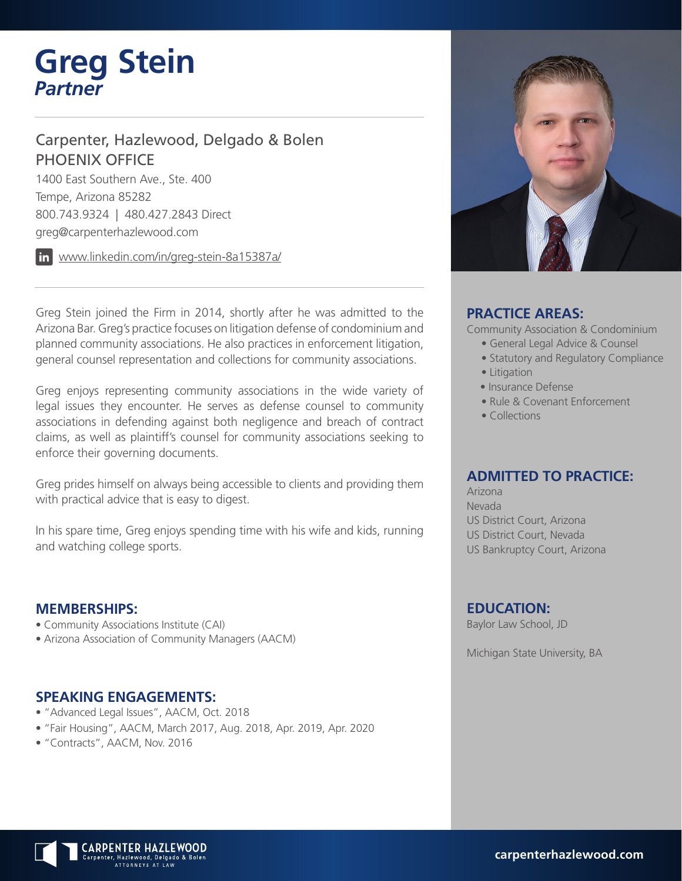# **Greg Stein** *Partner*

# Carpenter, Hazlewood, Delgado & Bolen PHOENIX OFFICE

1400 East Southern Ave., Ste. 400 Tempe, Arizona 85282 800.743.9324 | 480.427.2843 Direct greg@carpenterhazlewood.com

www.linkedin.com/in/greg-stein-8a15387a/

Greg Stein joined the Firm in 2014, shortly after he was admitted to the Arizona Bar. Greg's practice focuses on litigation defense of condominium and planned community associations. He also practices in enforcement litigation, general counsel representation and collections for community associations.

Greg enjoys representing community associations in the wide variety of legal issues they encounter. He serves as defense counsel to community associations in defending against both negligence and breach of contract claims, as well as plaintiff's counsel for community associations seeking to enforce their governing documents.

Greg prides himself on always being accessible to clients and providing them with practical advice that is easy to digest.

In his spare time, Greg enjoys spending time with his wife and kids, running and watching college sports.

#### **MEMBERSHIPS:**

- Community Associations Institute (CAI)
- Arizona Association of Community Managers (AACM)

#### **SPEAKING ENGAGEMENTS:**

- "Advanced Legal Issues", AACM, Oct. 2018
- "Fair Housing", AACM, March 2017, Aug. 2018, Apr. 2019, Apr. 2020
- "Contracts", AACM, Nov. 2016



### **PRACTICE AREAS:**

Community Association & Condominium

- General Legal Advice & Counsel
- Statutory and Regulatory Compliance
- Litigation
- Insurance Defense
- Rule & Covenant Enforcement
- Collections

### **ADMITTED TO PRACTICE:**

Arizona Nevada US District Court, Arizona US District Court, Nevada US Bankruptcy Court, Arizona

#### **EDUCATION:**

Baylor Law School, JD

Michigan State University, BA